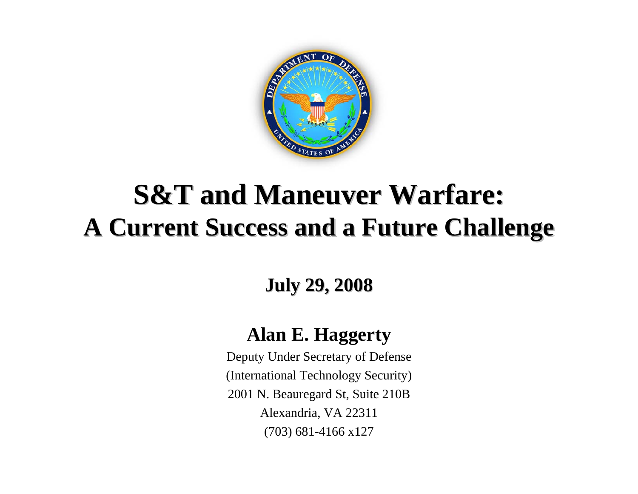

### **S&T and Maneuver Warfare: A Current Success and a Future Challenge**

**July 29, 2008 July 29, 2008**

#### **Alan E. Haggerty**

Deputy Under Secretary of Defense (International Technology Security) 2001 N. Beauregard St, Suite 210B Alexandria, VA 22311 (703) 681-4166 x127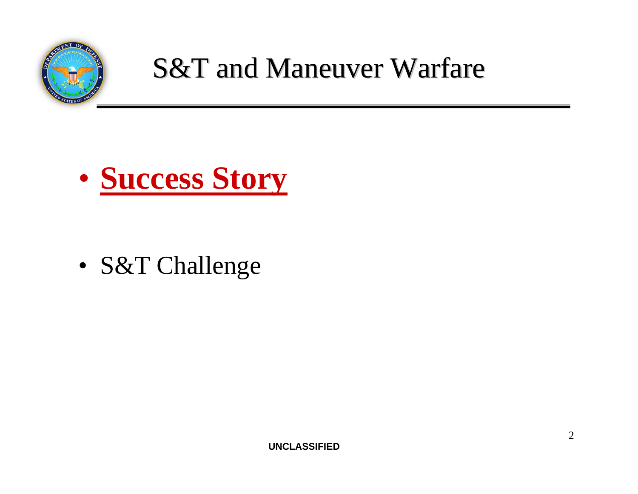

### **S&T and Maneuver Warfare**



• S&T Challenge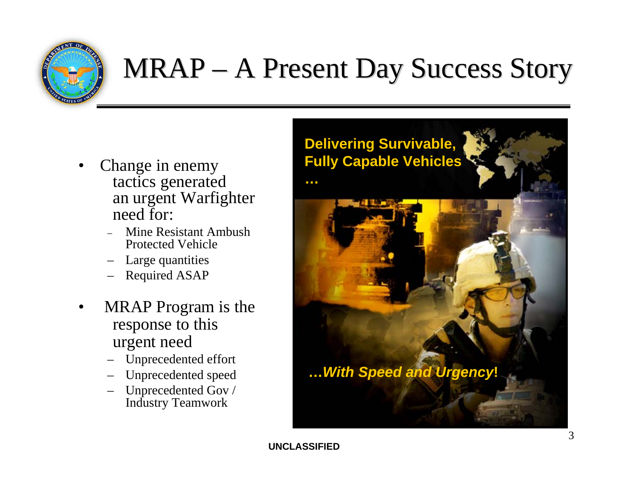

### $MRAP - A$  Present Day Success Story

- Change in enemy tactics generated an urgent Warfighter need for:
	- Mine Resistant Ambush Protected Vehicle
	- Large quantities
	- Required ASAP
- MRAP Program is the response to this urgent need
	- Unprecedented effort
	- Unprecedented speed
	- Unprecedented Gov / Industry Teamwork

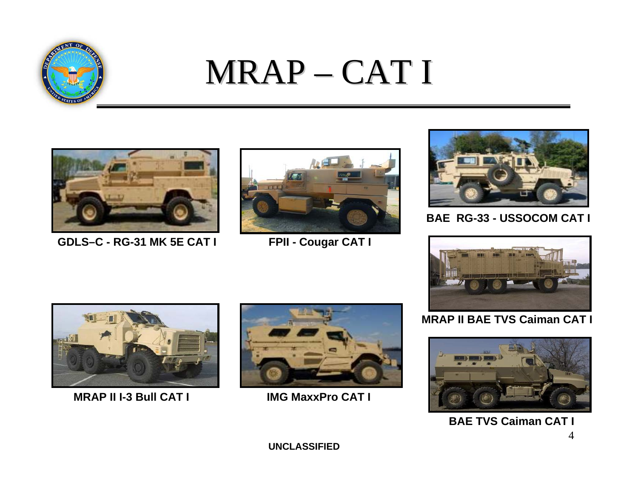

### MRAP –CAT I



**GDLS–C - RG-31 MK 5E CAT I**



**FPII - Cougar CAT I**



**BAE RG-33 - USSOCOM CAT I**



**MRAP II BAE TVS Caiman CAT I**



```
4BAE TVS Caiman CAT I
```


**MRAP II I-3 Bull CAT I**



**IMG MaxxPro CAT I**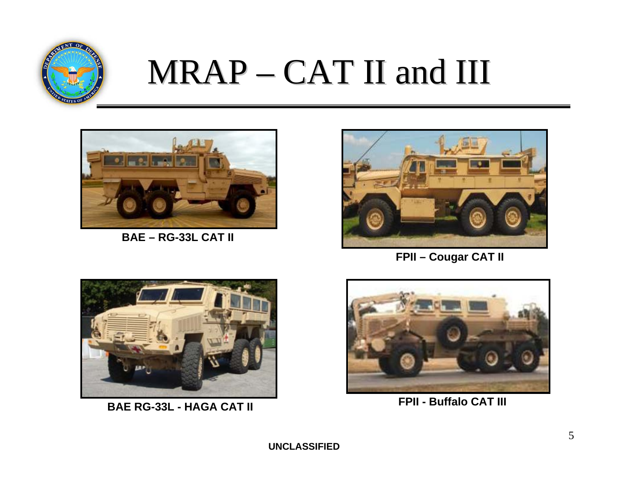

### $MRAP - CAT$  II and III



**BAE – RG-33L CAT II**



**FPII – Cougar CAT II**



**BAE RG-33L - HAGA CAT II**



**FPII - Buffalo CAT III**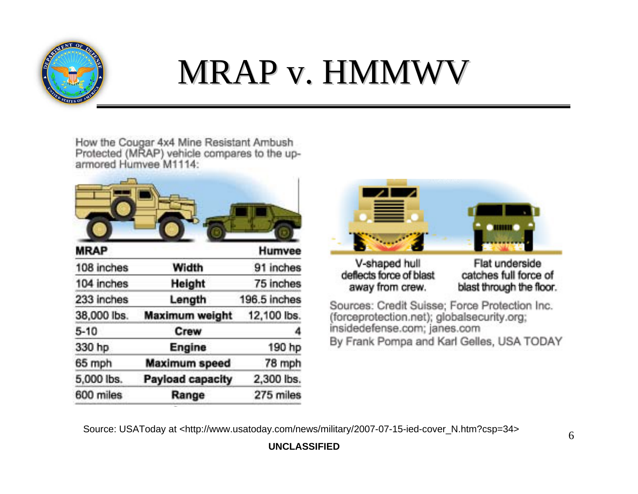

## MRAP v. HMMWV

How the Cougar 4x4 Mine Resistant Ambush Protected (MRAP) vehicle compares to the uparmored Humvee M1114:

| <b>MRAP</b> |                       | Humvee       |
|-------------|-----------------------|--------------|
| 108 inches  | Width                 | 91 inches    |
| 104 inches  | <b>Height</b>         | 75 inches    |
| 233 inches  | Length                | 196.5 inches |
| 38,000 lbs. | <b>Maximum weight</b> | 12,100 lbs.  |
| $5 - 10$    | Crew                  | 4            |
| 330 hp      | Engine                | 190 hp       |
| 65 mph      | <b>Maximum speed</b>  | 78 mph       |
| 5,000 lbs.  | Payload capacity      | 2,300 lbs.   |
| 600 miles   | Range                 | 275 miles    |
|             |                       |              |



V-shaped hull deflects force of blast away from crew.

Flat underside catches full force of blast through the floor.

Sources: Credit Suisse; Force Protection Inc. (forceprotection.net); globalsecurity.org; insidedefense.com; janes.com By Frank Pompa and Karl Gelles, USA TODAY

Source: USAToday at <http://www.usatoday.com/news/military/2007-07-15-ied-cover\_N.htm?csp=34>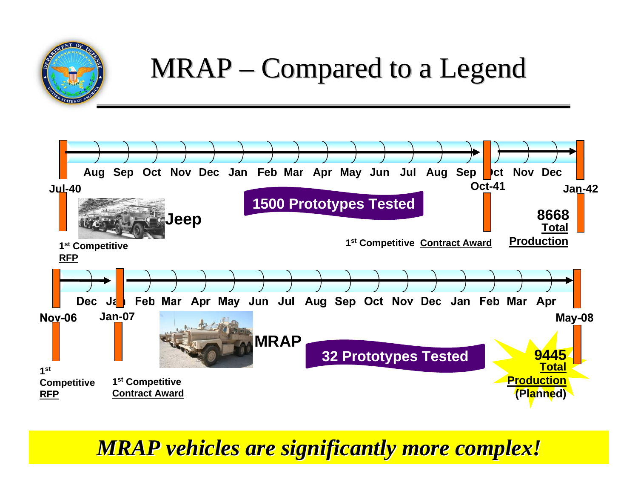

### $MRAP - Compared to a Legend$



#### *D* CIONITI *MRAP vehicles are significantly more complex! MRAP vehicles are significantly more complex!*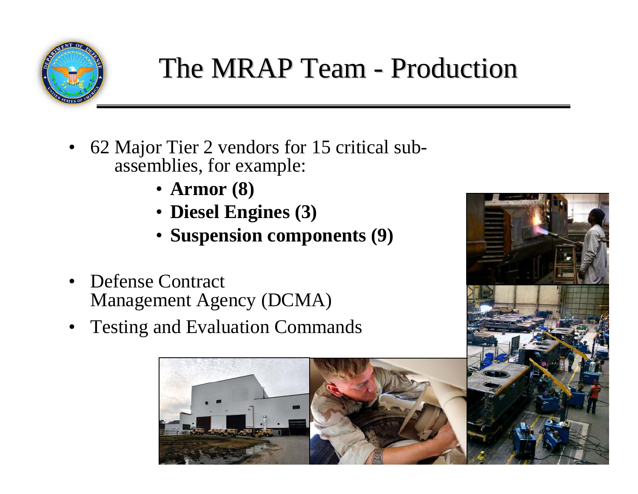

### The MRAP Team - Production

- 62 Major Tier 2 vendors for 15 critical subassemblies, for example:
	- **Armor (8)**
	- **Diesel Engines (3)**
	- **Suspension components (9)**
- Defense Contract Management Agency (DCMA)
- Testing and Evaluation Commands



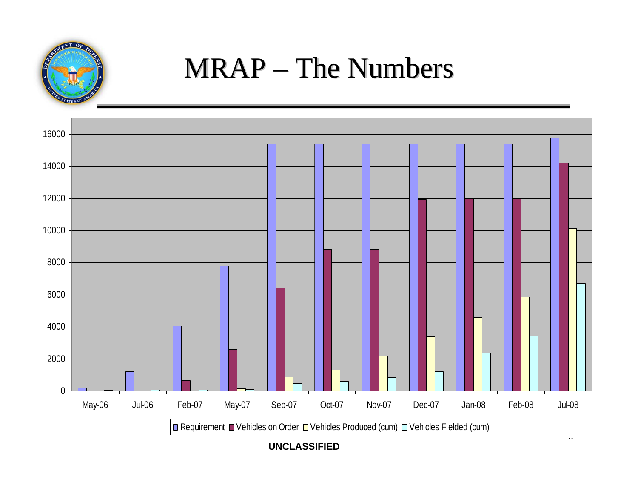

### $MRAP - The Numbers$



**UNCLASSIFIED**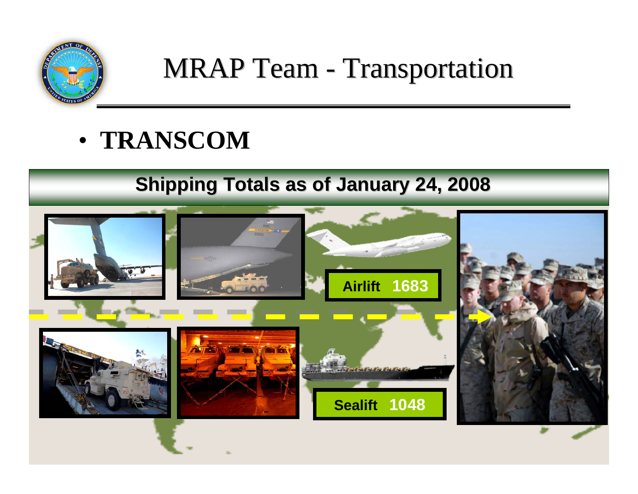

### **MRAP Team - Transportation**

• **TRANSCOM**

### **Shipping Totals as of January 24, 2008**

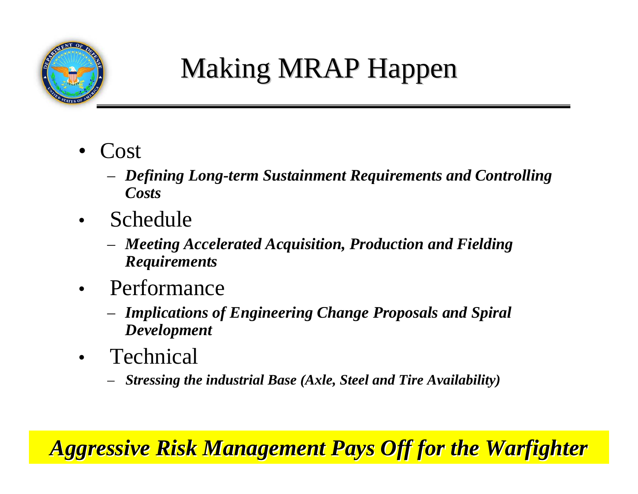

### Making MRAP Happen

- Cost
	- *Defining Long-term Sustainment Requirements and Controlling Costs*
- Schedule
	- *Meeting Accelerated Acquisition, Production and Fielding Requirements*
- Performance
	- *Implications of Engineering Change Proposals and Spiral Development*
- Technical
	- *Stressing the industrial Base (Axle, Steel and Tire Availability)*

#### **UNCLASSIFIED** 11 *Aggressive Risk Management Pays Off for the Warfighter Aggressive Risk Management Pays Off for the Warfighter*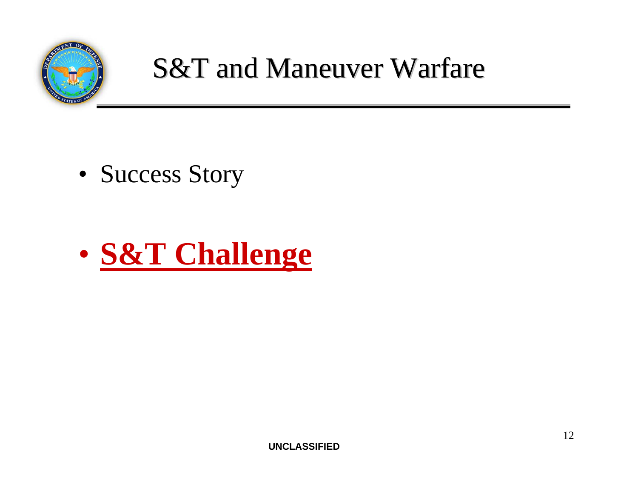

### **S&T and Maneuver Warfare**

• Success Story

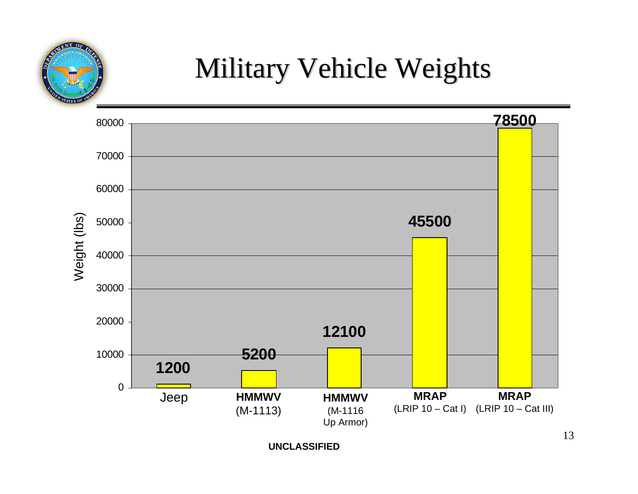

### Military Vehicle Weights

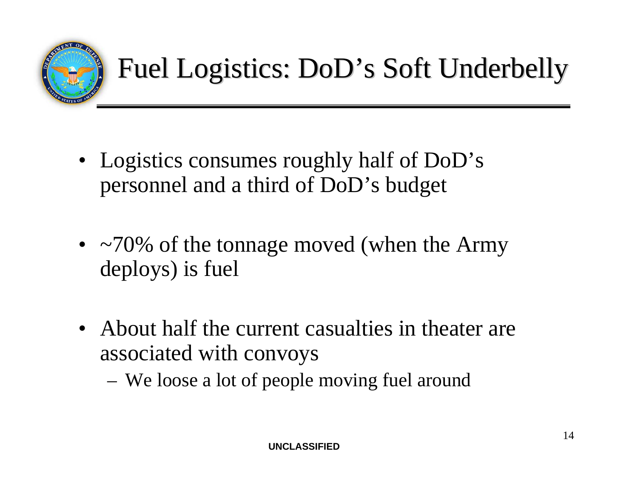

- Logistics consumes roughly half of DoD's personnel and a third of DoD's budget
- $\sim$ 70% of the tonnage moved (when the Army deploys) is fuel
- About half the current casualties in theater are associated with convoys
	- We loose a lot of people moving fuel around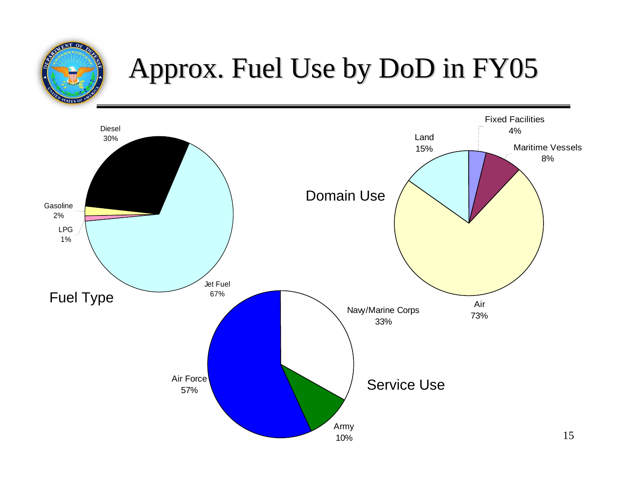### Approx. Fuel Use by DoD in FY05 Approx. Fuel Use by DoD in FY05

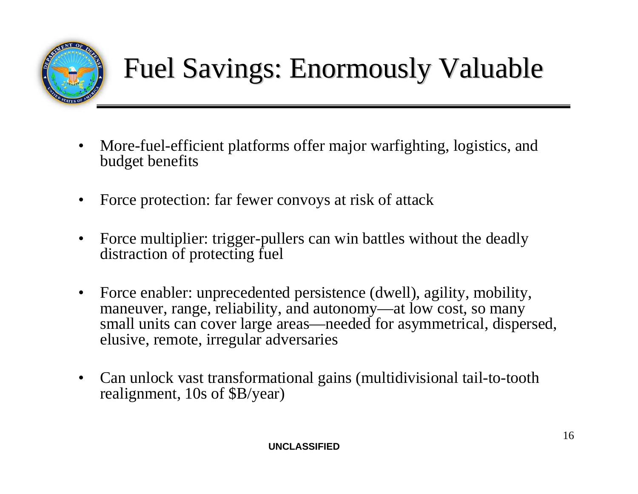

- More-fuel-efficient platforms offer major warfighting, logistics, and budget benefits
- Force protection: far fewer convoys at risk of attack
- Force multiplier: trigger-pullers can win battles without the deadly distraction of protecting fuel
- Force enabler: unprecedented persistence (dwell), agility, mobility, maneuver, range, reliability, and autonomy—at low cost, so many small units can cover large areas—needed for asymmetrical, dispersed, elusive, remote, irregular adversaries
- Can unlock vast transformational gains (multidivisional tail-to-tooth realignment, 10s of \$B/year)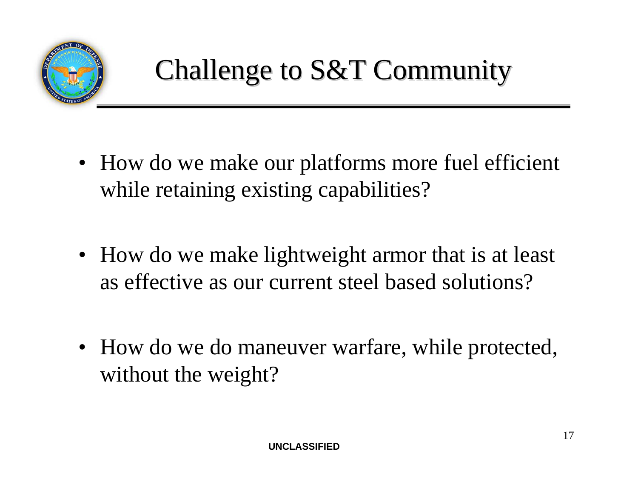

- How do we make our platforms more fuel efficient while retaining existing capabilities?
- How do we make lightweight armor that is at least as effective as our current steel based solutions?
- How do we do maneuver warfare, while protected, without the weight?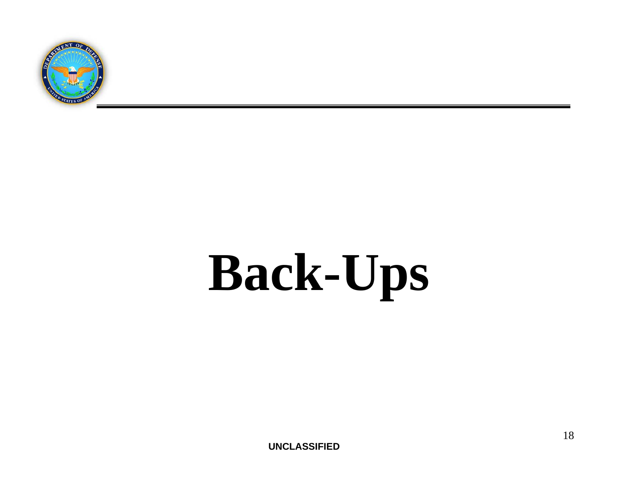

# **Back-Ups**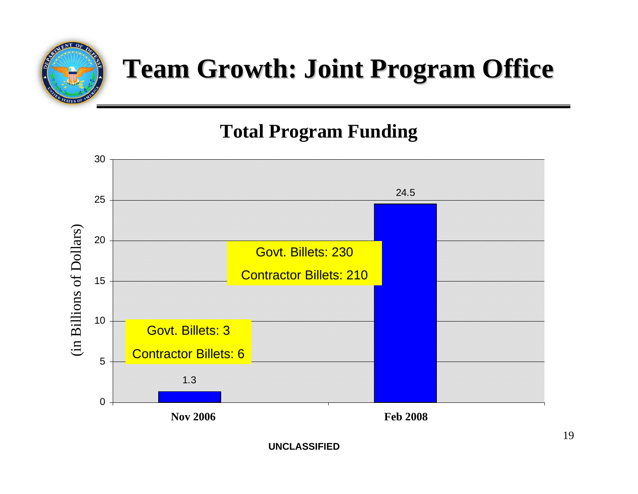

### **Team Growth: Joint Program Office**

### **Total Program Funding**

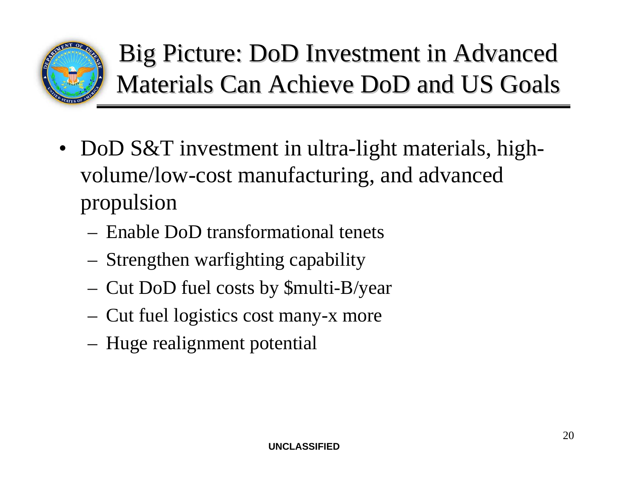

Big Picture: DoD Investment in Advanced Materials Can Achieve DoD and US Goals

- DoD S&T investment in ultra-light materials, highvolume/low-cost manufacturing, and advanced propulsion
	- Enable DoD transformational tenets
	- Strengthen warfighting capability
	- Cut DoD fuel costs by \$multi-B/year
	- Cut fuel logistics cost many-x more
	- Huge realignment potential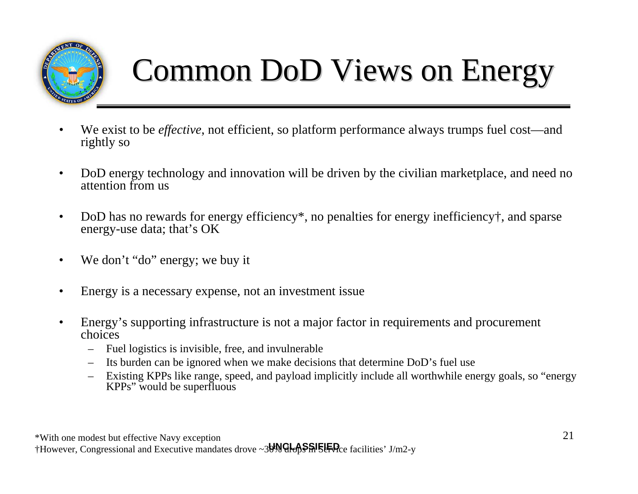

### Common DoD Views on Energy

- We exist to be *effective*, not efficient, so platform performance always trumps fuel cost—and rightly so
- DoD energy technology and innovation will be driven by the civilian marketplace, and need no attention from us
- DoD has no rewards for energy efficiency<sup>\*</sup>, no penalties for energy inefficiency<sup>†</sup>, and sparse energy-use data; that's OK
- We don't "do" energy; we buy it
- Energy is a necessary expense, not an investment issue
- Energy's supporting infrastructure is not a major factor in requirements and procurement choices
	- Fuel logistics is invisible, free, and invulnerable
	- Its burden can be ignored when we make decisions that determine DoD's fuel use
	- Existing KPPs like range, speed, and payload implicitly include all worthwhile energy goals, so "energy KPPs" would be superfluous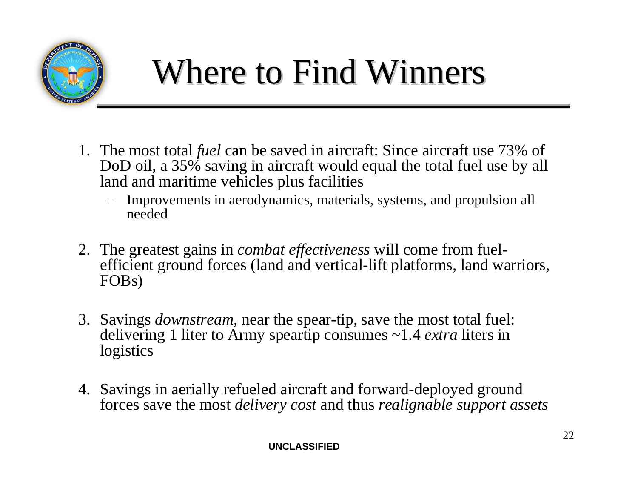

## Where to Find Winners

- 1. The most total *fuel* can be saved in aircraft: Since aircraft use 73% of DoD oil, a 35% saving in aircraft would equal the total fuel use by all land and maritime vehicles plus facilities
	- Improvements in aerodynamics, materials, systems, and propulsion all needed
- 2. The greatest gains in *combat effectiveness* will come from fuelefficient ground forces (land and vertical-lift platforms, land warriors, FOBs)
- 3. Savings *downstream*, near the spear-tip, save the most total fuel: delivering 1 liter to Army speartip consumes ~1.4 *extra* liters in **logistics**
- 4. Savings in aerially refueled aircraft and forward-deployed ground forces save the most *delivery cost* and thus *realignable support assets*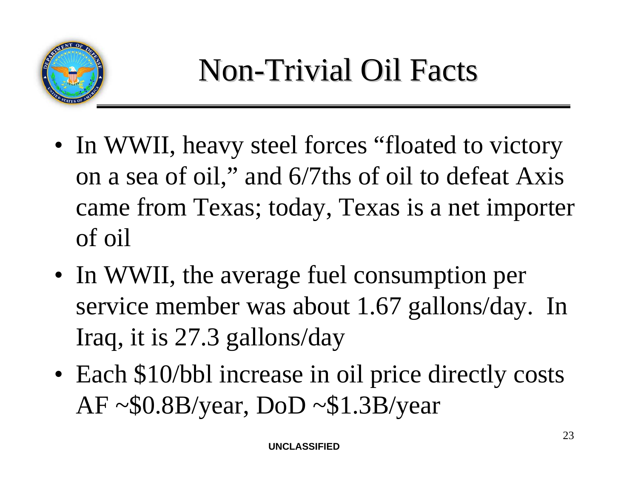

- In WWII, heavy steel forces "floated to victory" on a sea of oil," and 6/7ths of oil to defeat Axis came from Texas; today, Texas is a net importer of oil
- In WWII, the average fuel consumption per service member was about 1.67 gallons/day. In Iraq, it is 27.3 gallons/day
- Each \$10/bbl increase in oil price directly costs  $AF \sim $0.8B/year, DoD \sim $1.3B/year$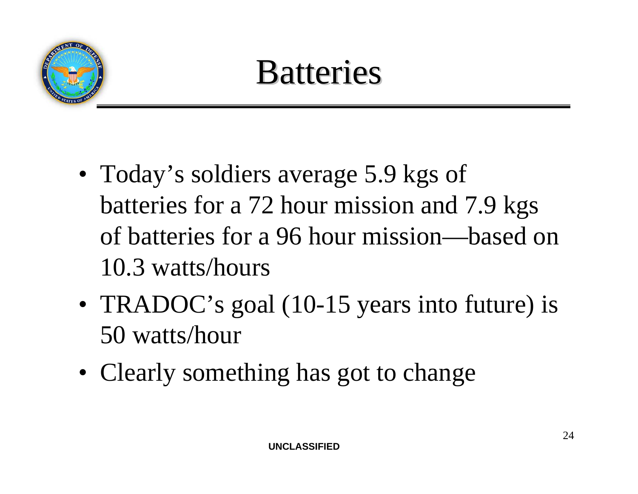

### **Batteries**

- Today's soldiers average 5.9 kgs of batteries for a 72 hour mission and 7.9 kgs of batteries for a 96 hour mission—based on 10.3 watts/hours
- TRADOC's goal (10-15 years into future) is 50 watts/hour
- Clearly something has got to change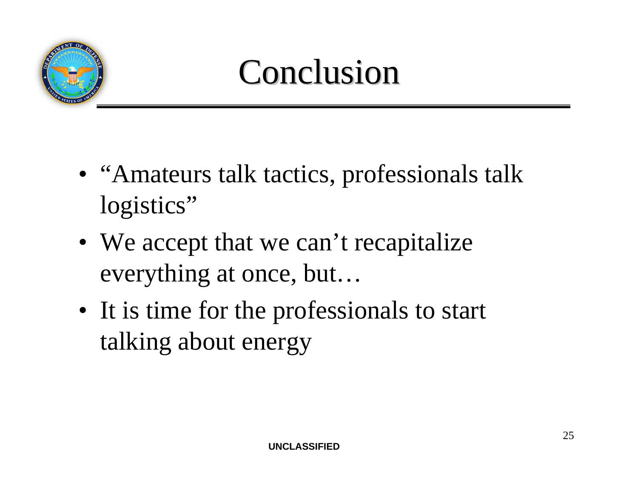

### **Conclusion**

- "Amateurs talk tactics, professionals talk logistics"
- We accept that we can't recapitalize everything at once, but…
- It is time for the professionals to start talking about energy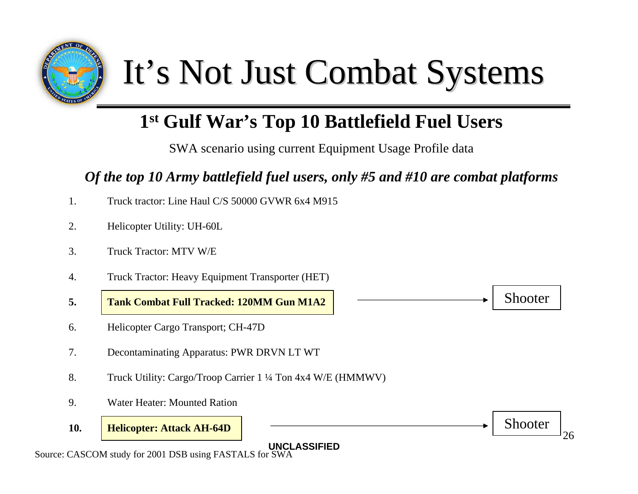

## It's Not Just Combat Systems

### **1st Gulf War's Top 10 Battlefield Fuel Users**

SWA scenario using current Equipment Usage Profile data

#### *Of the top 10 Army battlefield fuel users, only #5 and #10 are combat platforms*

- 1. Truck tractor: Line Haul C/S 50000 GVWR 6x4 M915
- 2. Helicopter Utility: UH-60L
- 3. Truck Tractor: MTV W/E
- 4. Truck Tractor: Heavy Equipment Transporter (HET)
- **5. Tank Combat Full Tracked: 120MM Gun M1A2**
- 6. Helicopter Cargo Transport; CH-47D
- 7. Decontaminating Apparatus: PWR DRVN LT WT
- 8. Truck Utility: Cargo/Troop Carrier 1 ¼ Ton 4x4 W/E (HMMWV)
- 9. Water Heater: Mounted Ration
- **10. Helicopter: Attack AH-64D**





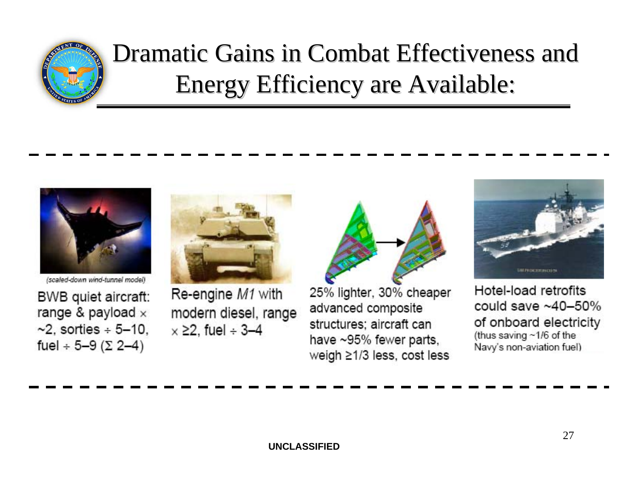

### Dramatic Gains in Combat Effectiveness and Dramatic Gains in Combat Effectiveness and Energy Efficiency are Available:



(scaled-down wind-tunnel model)

BWB quiet aircraft: range & payload  $\times$  $\sim$ 2, sorties ÷ 5-10. fuel  $\div$  5-9 ( $\Sigma$  2-4)



Re-engine M1 with modern diesel, range  $\times$   $\geq$ 2, fuel ÷ 3-4



25% lighter, 30% cheaper advanced composite structures: aircraft can have ~95% fewer parts, weigh ≥1/3 less, cost less



Hotel-load retrofits could save  $~10-50\%$ of onboard electricity (thus saving ~1/6 of the Navy's non-aviation fuel)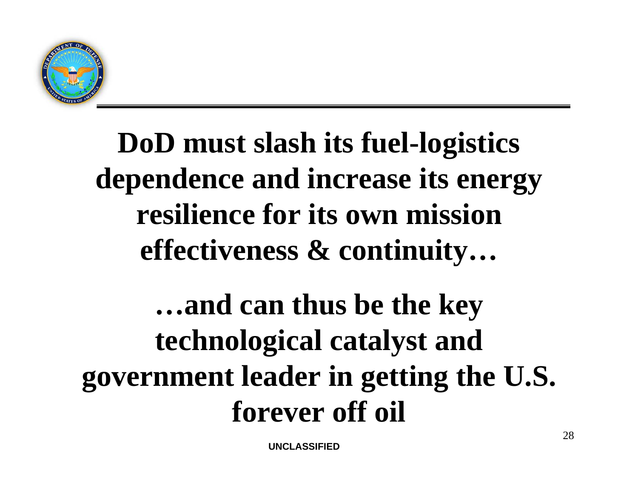

### **DoD must slash its fuel-logistics dependence and increase its energy resilience for its own mission effectiveness & continuity…**

### **…and can thus be the key technological catalyst and government leader in getting the U.S. forever off oil**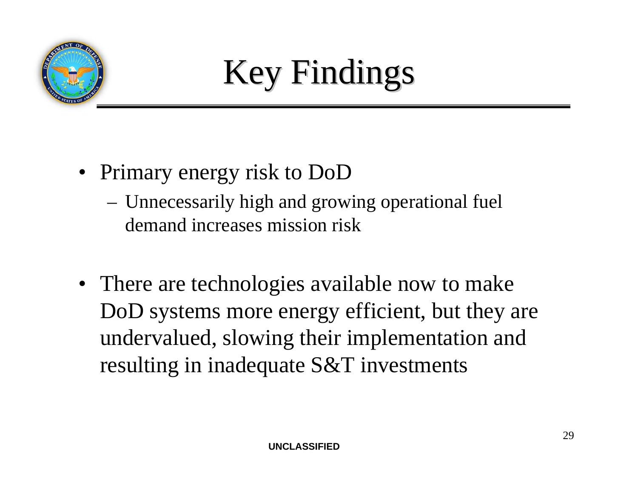



- Primary energy risk to DoD
	- Unnecessarily high and growing operational fuel demand increases mission risk
- There are technologies available now to make DoD systems more energy efficient, but they are undervalued, slowing their implementation and resulting in inadequate S&T investments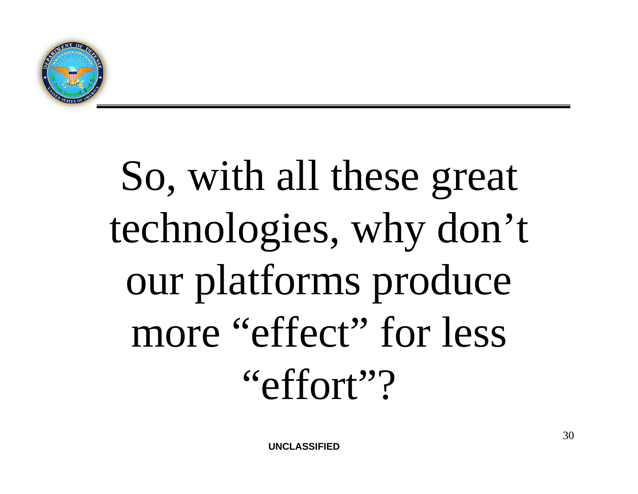

# So, with all these great technologies, why don't our platforms produce more "effect" for less "effort"?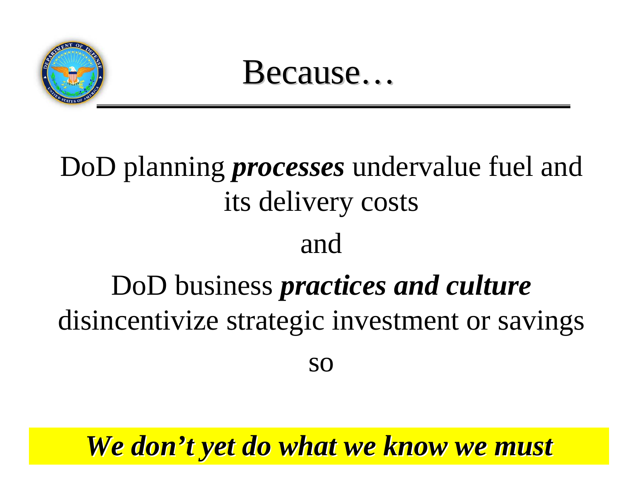

Because…

### DoD planning *processes* undervalue fuel and its delivery costs and

### DoD business *practices and culture*  disincentivize strategic investment or savings

so

#### **WINGIT** *We don't yet do what we know we must t yet do what we know we must*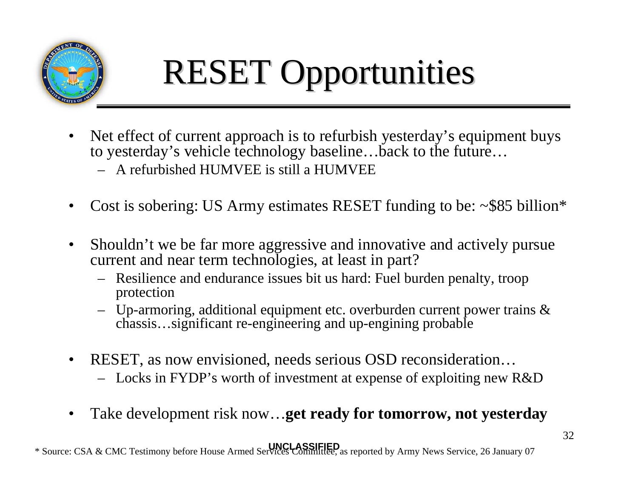

# RESET Opportunities

- Net effect of current approach is to refurbish yesterday's equipment buys to yesterday's vehicle technology baseline…back to the future…
	- A refurbished HUMVEE is still a HUMVEE
- Cost is sobering: US Army estimates RESET funding to be:  $\sim$ \$85 billion\*
- Shouldn't we be far more aggressive and innovative and actively pursue current and near term technologies, at least in part?
	- Resilience and endurance issues bit us hard: Fuel burden penalty, troop protection
	- Up-armoring, additional equipment etc. overburden current power trains & chassis…significant re-engineering and up-engining probable
- RESET, as now envisioned, needs serious OSD reconsideration...
	- Locks in FYDP's worth of investment at expense of exploiting new R&D
- Take development risk now…**get ready for tomorrow, not yesterday**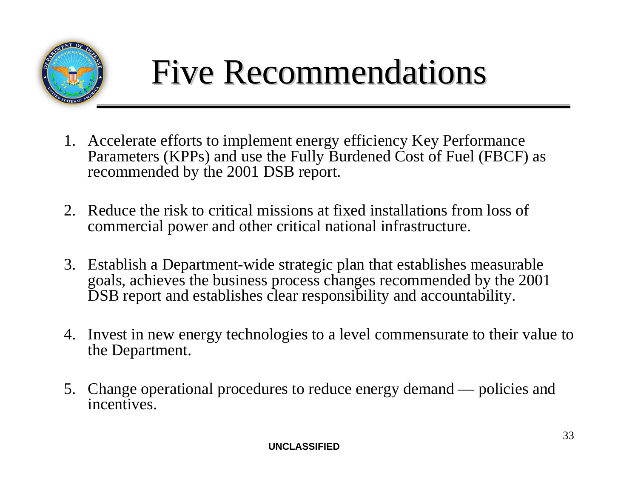

## Five Recommendations

- 1. Accelerate efforts to implement energy efficiency Key Performance Parameters (KPPs) and use the Fully Burdened Cost of Fuel (FBCF) as recommended by the 2001 DSB report.
- 2. Reduce the risk to critical missions at fixed installations from loss of commercial power and other critical national infrastructure.
- 3. Establish a Department-wide strategic plan that establishes measurable goals, achieves the business process changes recommended by the 2001 DSB report and establishes clear responsibility and accountability.
- 4. Invest in new energy technologies to a level commensurate to their value to the Department.
- 5. Change operational procedures to reduce energy demand policies and incentives.